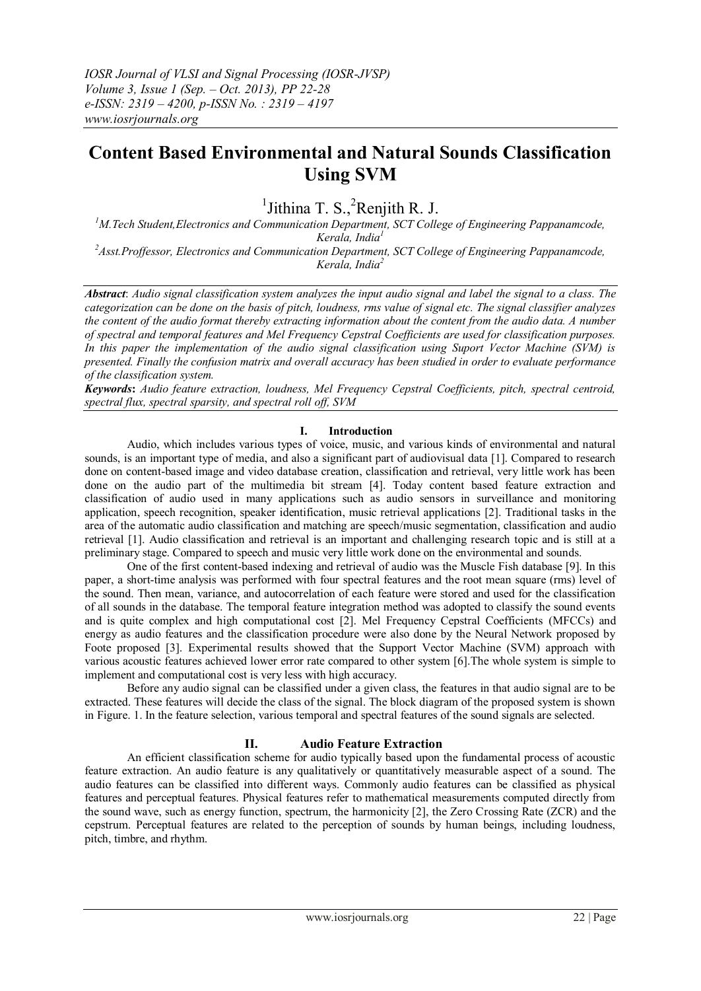# **Content Based Environmental and Natural Sounds Classification Using SVM**

 $<sup>1</sup>$  Jithina T. S.,  $<sup>2</sup>$ Renjith R. J.</sup></sup>

*<sup>1</sup>M.Tech Student,Electronics and Communication Department, SCT College of Engineering Pappanamcode, Kerala, India<sup>1</sup>*

*<sup>2</sup>Asst.Proffessor, Electronics and Communication Department, SCT College of Engineering Pappanamcode, Kerala, India<sup>2</sup>*

*Abstract*: *Audio signal classification system analyzes the input audio signal and label the signal to a class. The categorization can be done on the basis of pitch, loudness, rms value of signal etc. The signal classifier analyzes the content of the audio format thereby extracting information about the content from the audio data. A number of spectral and temporal features and Mel Frequency Cepstral Coefficients are used for classification purposes. In this paper the implementation of the audio signal classification using Suport Vector Machine (SVM) is presented. Finally the confusion matrix and overall accuracy has been studied in order to evaluate performance of the classification system.*

*Keywords***:** *Audio feature extraction, loudness, Mel Frequency Cepstral Coefficients, pitch, spectral centroid, spectral flux, spectral sparsity, and spectral roll off, SVM*

## **I. Introduction**

Audio, which includes various types of voice, music, and various kinds of environmental and natural sounds, is an important type of media, and also a significant part of audiovisual data [1]. Compared to research done on content-based image and video database creation, classification and retrieval, very little work has been done on the audio part of the multimedia bit stream [4]. Today content based feature extraction and classification of audio used in many applications such as audio sensors in surveillance and monitoring application, speech recognition, speaker identification, music retrieval applications [2]. Traditional tasks in the area of the automatic audio classification and matching are speech/music segmentation, classification and audio retrieval [1]. Audio classification and retrieval is an important and challenging research topic and is still at a preliminary stage. Compared to speech and music very little work done on the environmental and sounds.

One of the first content-based indexing and retrieval of audio was the Muscle Fish database [9]. In this paper, a short-time analysis was performed with four spectral features and the root mean square (rms) level of the sound. Then mean, variance, and autocorrelation of each feature were stored and used for the classification of all sounds in the database. The temporal feature integration method was adopted to classify the sound events and is quite complex and high computational cost [2]. Mel Frequency Cepstral Coefficients (MFCCs) and energy as audio features and the classification procedure were also done by the Neural Network proposed by Foote proposed [3]. Experimental results showed that the Support Vector Machine (SVM) approach with various acoustic features achieved lower error rate compared to other system [6].The whole system is simple to implement and computational cost is very less with high accuracy.

Before any audio signal can be classified under a given class, the features in that audio signal are to be extracted. These features will decide the class of the signal. The block diagram of the proposed system is shown in Figure. 1. In the feature selection, various temporal and spectral features of the sound signals are selected.

#### **II. Audio Feature Extraction**

An efficient classification scheme for audio typically based upon the fundamental process of acoustic feature extraction. An audio feature is any qualitatively or quantitatively measurable aspect of a sound. The audio features can be classified into different ways. Commonly audio features can be classified as physical features and perceptual features. Physical features refer to mathematical measurements computed directly from the sound wave, such as energy function, spectrum, the harmonicity [2], the Zero Crossing Rate (ZCR) and the cepstrum. Perceptual features are related to the perception of sounds by human beings, including loudness, pitch, timbre, and rhythm.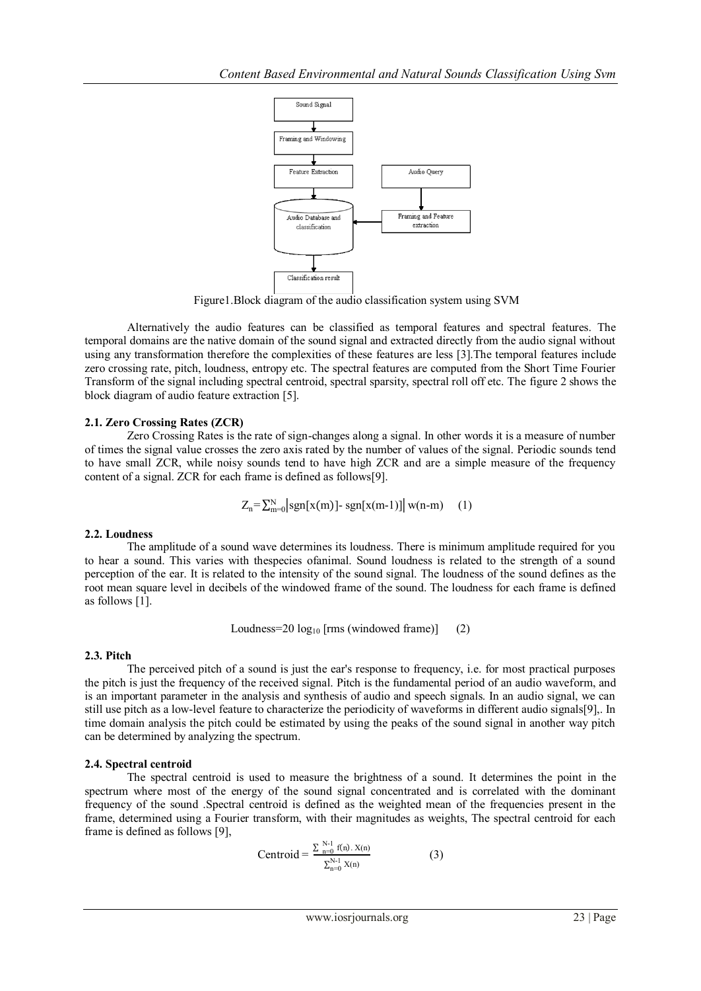

Figure1.Block diagram of the audio classification system using SVM

Alternatively the audio features can be classified as temporal features and spectral features. The temporal domains are the native domain of the sound signal and extracted directly from the audio signal without using any transformation therefore the complexities of these features are less [3].The temporal features include zero crossing rate, pitch, loudness, entropy etc. The spectral features are computed from the Short Time Fourier Transform of the signal including spectral centroid, spectral sparsity, spectral roll off etc. The figure 2 shows the block diagram of audio feature extraction [5].

## **2.1. Zero Crossing Rates (ZCR)**

Zero Crossing Rates is the rate of sign-changes along a signal. In other words it is a measure of number of times the signal value crosses the zero axis rated by the number of values of the signal. Periodic sounds tend to have small ZCR, while noisy sounds tend to have high ZCR and are a simple measure of the frequency content of a signal. ZCR for each frame is defined as follows[9].

$$
Z_n = \sum_{m=0}^{N} \left| \text{sgn}[x(m)] \cdot \text{sgn}[x(m-1)] \right| w(n-m) \quad (1)
$$

## **2.2. Loudness**

The amplitude of a sound wave determines its loudness. There is minimum amplitude required for you to hear a sound. This varies with thespecies ofanimal. Sound loudness is related to the strength of a sound perception of the ear. It is related to the intensity of the sound signal. The loudness of the sound defines as the root mean square level in decibels of the windowed frame of the sound. The loudness for each frame is defined as follows [1].

Loudness= $20 \log_{10}$  [rms (windowed frame)] (2)

## **2.3. Pitch**

The perceived pitch of a sound is just the ear's response to frequency, i.e. for most practical purposes the pitch is just the frequency of the received signal. Pitch is the fundamental period of an audio waveform, and is an important parameter in the analysis and synthesis of audio and speech signals. In an audio signal, we can still use pitch as a low-level feature to characterize the periodicity of waveforms in different audio signals[9],. In time domain analysis the pitch could be estimated by using the peaks of the sound signal in another way pitch can be determined by analyzing the spectrum.

## **2.4. Spectral centroid**

The spectral centroid is used to measure the brightness of a sound. It determines the point in the spectrum where most of the energy of the sound signal concentrated and is correlated with the dominant frequency of the sound .Spectral centroid is defined as the weighted mean of the frequencies present in the frame, determined using a Fourier transform, with their magnitudes as weights, The spectral centroid for each frame is defined as follows [9],

$$
Centroid = \frac{\sum_{n=0}^{N-1} f(n). X(n)}{\sum_{n=0}^{N-1} X(n)} \tag{3}
$$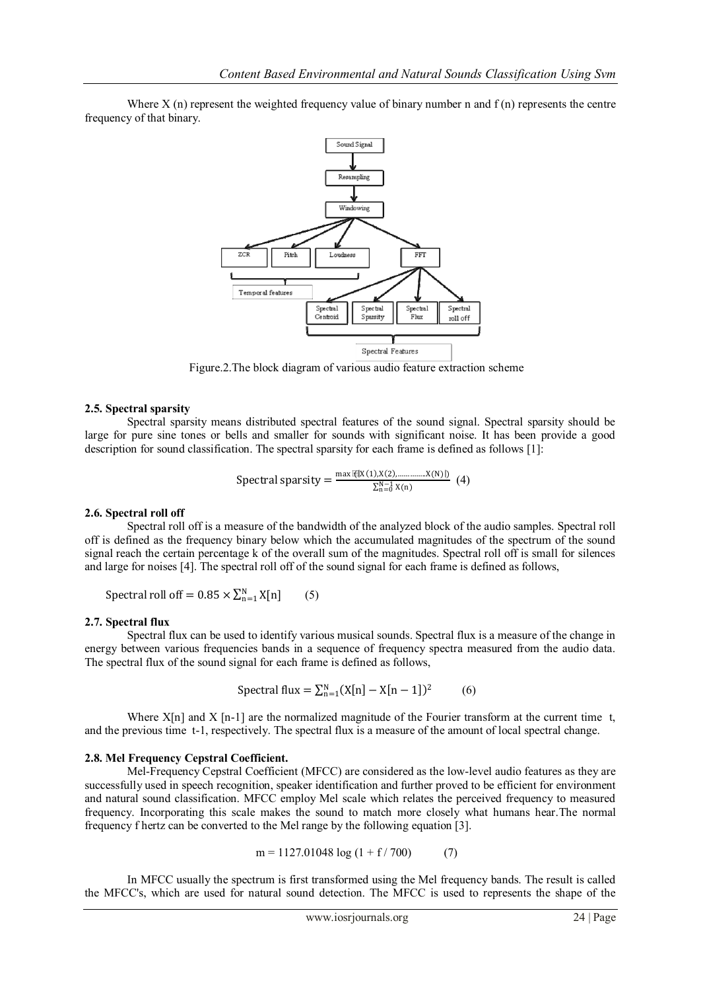Where  $X$  (n) represent the weighted frequency value of binary number n and  $f(n)$  represents the centre frequency of that binary.



Figure.2.The block diagram of various audio feature extraction scheme

## **2.5. Spectral sparsity**

Spectral sparsity means distributed spectral features of the sound signal. Spectral sparsity should be large for pure sine tones or bells and smaller for sounds with significant noise. It has been provide a good description for sound classification. The spectral sparsity for each frame is defined as follows [1]:

$$
\text{Spectral sparsity} = \frac{\max \mathbb{E}[X(1), X(2), \dots, X(N)]\}}{\sum_{n=0}^{N-1} X(n)} \tag{4}
$$

#### **2.6. Spectral roll off**

Spectral roll off is a measure of the bandwidth of the analyzed block of the audio samples. Spectral roll off is defined as the frequency binary below which the accumulated magnitudes of the spectrum of the sound signal reach the certain percentage k of the overall sum of the magnitudes. Spectral roll off is small for silences and large for noises [4]. The spectral roll off of the sound signal for each frame is defined as follows,

Spectral roll off =  $0.85 \times \sum_{n=1}^{N} X[n]$ (5)

#### **2.7. Spectral flux**

Spectral flux can be used to identify various musical sounds. Spectral flux is a measure of the change in energy between various frequencies bands in a sequence of frequency spectra measured from the audio data. The spectral flux of the sound signal for each frame is defined as follows,

$$
Spectral flux = \sum_{n=1}^{N} (X[n] - X[n-1])^{2}
$$
 (6)

Where  $X[n]$  and  $X[n-1]$  are the normalized magnitude of the Fourier transform at the current time t, and the previous time t-1, respectively. The spectral flux is a measure of the amount of local spectral change.

#### **2.8. Mel Frequency Cepstral Coefficient.**

Mel-Frequency Cepstral Coefficient (MFCC) are considered as the low-level audio features as they are successfully used in speech recognition, speaker identification and further proved to be efficient for environment and natural sound classification. MFCC employ Mel scale which relates the perceived frequency to measured frequency. Incorporating this scale makes the sound to match more closely what humans hear.The normal frequency f hertz can be converted to the Mel range by the following equation [3].

$$
m = 1127.01048 \log (1 + f / 700) \tag{7}
$$

In MFCC usually the spectrum is first transformed using the Mel frequency bands. The result is called the MFCC's, which are used for natural sound detection. The MFCC is used to represents the shape of the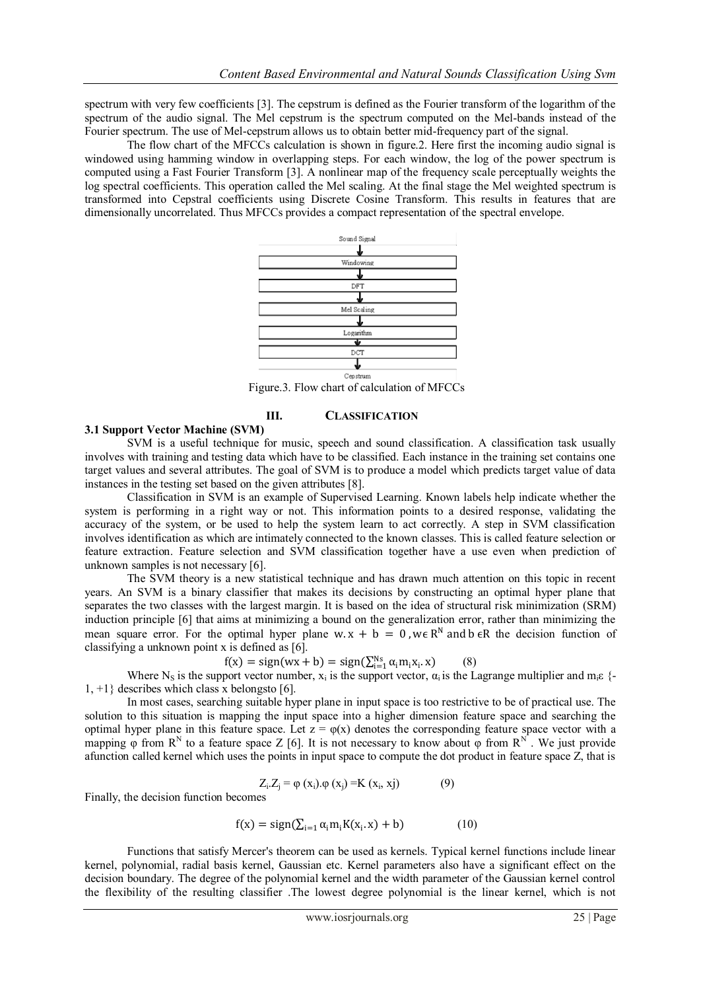spectrum with very few coefficients [3]. The cepstrum is defined as the Fourier transform of the logarithm of the spectrum of the audio signal. The Mel cepstrum is the spectrum computed on the Mel-bands instead of the Fourier spectrum. The use of Mel-cepstrum allows us to obtain better mid-frequency part of the signal.

The flow chart of the MFCCs calculation is shown in figure.2. Here first the incoming audio signal is windowed using hamming window in overlapping steps. For each window, the log of the power spectrum is computed using a Fast Fourier Transform [3]. A nonlinear map of the frequency scale perceptually weights the log spectral coefficients. This operation called the Mel scaling. At the final stage the Mel weighted spectrum is transformed into Cepstral coefficients using Discrete Cosine Transform. This results in features that are dimensionally uncorrelated. Thus MFCCs provides a compact representation of the spectral envelope.



Figure.3. Flow chart of calculation of MFCCs

#### **III. CLASSIFICATION**

#### **3.1 Support Vector Machine (SVM)**

SVM is a useful technique for music, speech and sound classification. A classification task usually involves with training and testing data which have to be classified. Each instance in the training set contains one target values and several attributes. The goal of SVM is to produce a model which predicts target value of data instances in the testing set based on the given attributes [8].

Classification in SVM is an example of Supervised Learning. Known labels help indicate whether the system is performing in a right way or not. This information points to a desired response, validating the accuracy of the system, or be used to help the system learn to act correctly. A step in SVM classification involves identification as which are intimately connected to the known classes. This is called feature selection or feature extraction. Feature selection and SVM classification together have a use even when prediction of unknown samples is not necessary [6].

The SVM theory is a new statistical technique and has drawn much attention on this topic in recent years. An SVM is a binary classifier that makes its decisions by constructing an optimal hyper plane that separates the two classes with the largest margin. It is based on the idea of structural risk minimization (SRM) induction principle [6] that aims at minimizing a bound on the generalization error, rather than minimizing the mean square error. For the optimal hyper plane w.x + b = 0, we R<sup>N</sup> and b  $\epsilon$ R the decision function of classifying a unknown point x is defined as [6].

$$
f(x) = sign(wx + b) = sign(\sum_{i=1}^{Ns} \alpha_i m_i x_i, x)
$$
 (8)

 $f(x) = sign(wx + b) = sign(\sum_{i=1}^{Ns} \alpha_i m_i x_i. x)$  (8)<br>Where N<sub>S</sub> is the support vector number,  $x_i$  is the support vector,  $\alpha_i$  is the Lagrange multiplier and m<sub>i</sub> $\varepsilon$  {-1, +1} describes which class x belongsto [6].

In most cases, searching suitable hyper plane in input space is too restrictive to be of practical use. The solution to this situation is mapping the input space into a higher dimension feature space and searching the optimal hyper plane in this feature space. Let  $z = \varphi(x)$  denotes the corresponding feature space vector with a mapping  $\varphi$  from  $R^N$  to a feature space Z [6]. It is not necessary to know about  $\varphi$  from  $R^N$ . We just provide afunction called kernel which uses the points in input space to compute the dot product in feature space Z, that is

$$
Z_i. Z_j = \varphi(x_i). \varphi(x_j) = K(x_i, x_j)
$$
 (9)

Finally, the decision function becomes

$$
f(x) = sign(\sum_{i=1}^{\infty} \alpha_i m_i K(x_i, x) + b)
$$
 (10)

Functions that satisfy Mercer's theorem can be used as kernels. Typical kernel functions include linear kernel, polynomial, radial basis kernel, Gaussian etc. Kernel parameters also have a significant effect on the decision boundary. The degree of the polynomial kernel and the width parameter of the Gaussian kernel control the flexibility of the resulting classifier .The lowest degree polynomial is the linear kernel, which is not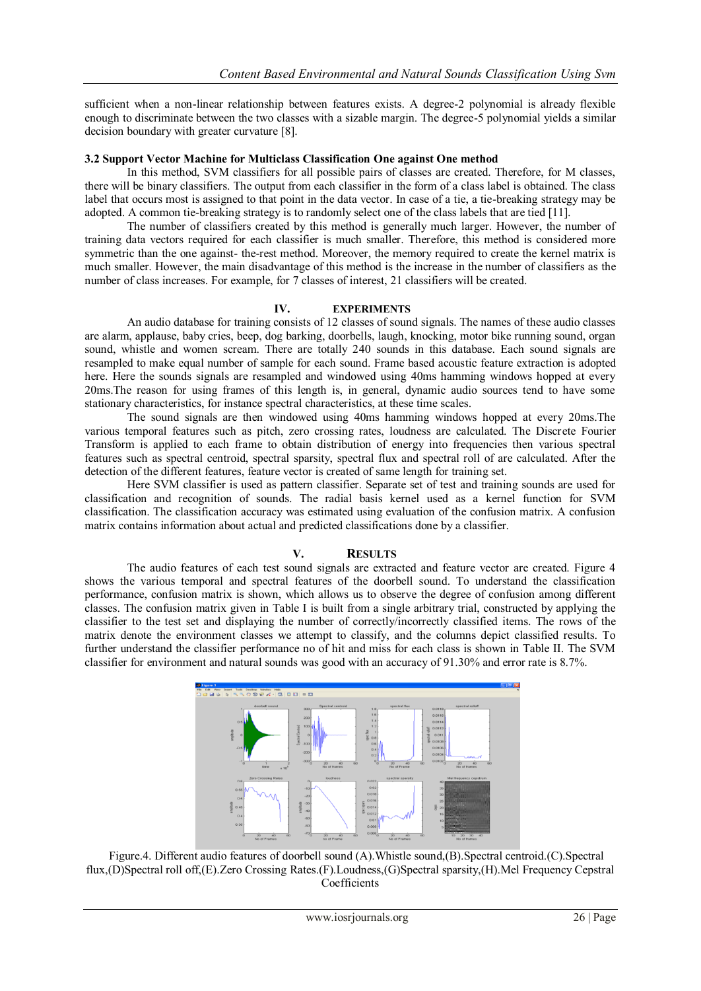sufficient when a non-linear relationship between features exists. A degree-2 polynomial is already flexible enough to discriminate between the two classes with a sizable margin. The degree-5 polynomial yields a similar decision boundary with greater curvature [8].

#### **3.2 Support Vector Machine for Multiclass Classification One against One method**

In this method, SVM classifiers for all possible pairs of classes are created. Therefore, for M classes, there will be binary classifiers. The output from each classifier in the form of a class label is obtained. The class label that occurs most is assigned to that point in the data vector. In case of a tie, a tie-breaking strategy may be adopted. A common tie-breaking strategy is to randomly select one of the class labels that are tied [11].

The number of classifiers created by this method is generally much larger. However, the number of training data vectors required for each classifier is much smaller. Therefore, this method is considered more symmetric than the one against- the-rest method. Moreover, the memory required to create the kernel matrix is much smaller. However, the main disadvantage of this method is the increase in the number of classifiers as the number of class increases. For example, for 7 classes of interest, 21 classifiers will be created.

## **IV. EXPERIMENTS**

An audio database for training consists of 12 classes of sound signals. The names of these audio classes are alarm, applause, baby cries, beep, dog barking, doorbells, laugh, knocking, motor bike running sound, organ sound, whistle and women scream. There are totally 240 sounds in this database. Each sound signals are resampled to make equal number of sample for each sound. Frame based acoustic feature extraction is adopted here. Here the sounds signals are resampled and windowed using 40ms hamming windows hopped at every 20ms.The reason for using frames of this length is, in general, dynamic audio sources tend to have some stationary characteristics, for instance spectral characteristics, at these time scales.

The sound signals are then windowed using 40ms hamming windows hopped at every 20ms.The various temporal features such as pitch, zero crossing rates, loudness are calculated. The Discrete Fourier Transform is applied to each frame to obtain distribution of energy into frequencies then various spectral features such as spectral centroid, spectral sparsity, spectral flux and spectral roll of are calculated. After the detection of the different features, feature vector is created of same length for training set.

Here SVM classifier is used as pattern classifier. Separate set of test and training sounds are used for classification and recognition of sounds. The radial basis kernel used as a kernel function for SVM classification. The classification accuracy was estimated using evaluation of the confusion matrix. A confusion matrix contains information about actual and predicted classifications done by a classifier.

## **V. RESULTS**

The audio features of each test sound signals are extracted and feature vector are created. Figure 4 shows the various temporal and spectral features of the doorbell sound. To understand the classification performance, confusion matrix is shown, which allows us to observe the degree of confusion among different classes. The confusion matrix given in Table I is built from a single arbitrary trial, constructed by applying the classifier to the test set and displaying the number of correctly/incorrectly classified items. The rows of the matrix denote the environment classes we attempt to classify, and the columns depict classified results. To further understand the classifier performance no of hit and miss for each class is shown in Table II. The SVM classifier for environment and natural sounds was good with an accuracy of 91.30% and error rate is 8.7%.



Figure.4. Different audio features of doorbell sound (A).Whistle sound,(B).Spectral centroid.(C).Spectral flux,(D)Spectral roll off,(E).Zero Crossing Rates.(F).Loudness,(G)Spectral sparsity,(H).Mel Frequency Cepstral Coefficients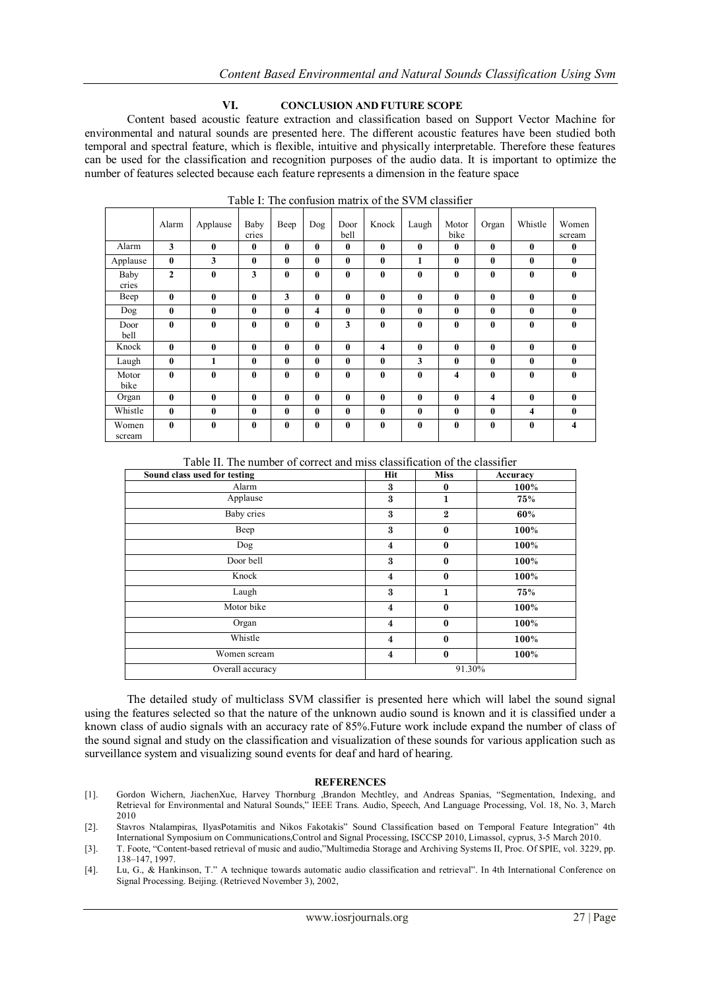#### **VI. CONCLUSION AND FUTURE SCOPE**

Content based acoustic feature extraction and classification based on Support Vector Machine for environmental and natural sounds are presented here. The different acoustic features have been studied both temporal and spectral feature, which is flexible, intuitive and physically interpretable. Therefore these features can be used for the classification and recognition purposes of the audio data. It is important to optimize the number of features selected because each feature represents a dimension in the feature space

| Alarm           | Alarm<br>3   | Applause<br>$\bf{0}$ | Baby<br>cries<br>$\bf{0}$ | Beep<br>$\mathbf{0}$ | Dog<br>$\bf{0}$ | Door<br>bell<br>$\mathbf{0}$ | Knock<br>$\bf{0}$       | Laugh<br>$\mathbf{0}$ | Motor<br>bike<br>$\mathbf{0}$ | Organ<br>$\bf{0}$ | Whistle<br>$\bf{0}$ | Women<br>scream<br>$\bf{0}$ |
|-----------------|--------------|----------------------|---------------------------|----------------------|-----------------|------------------------------|-------------------------|-----------------------|-------------------------------|-------------------|---------------------|-----------------------------|
|                 |              |                      |                           |                      |                 |                              |                         |                       |                               |                   |                     |                             |
| Applause        | $\mathbf{0}$ | 3                    | $\mathbf{0}$              | $\mathbf{0}$         | 0               | $\mathbf{0}$                 | $\bf{0}$                | 1                     | $\mathbf{0}$                  | $\bf{0}$          | $\bf{0}$            | $\bf{0}$                    |
| Baby<br>cries   | $\mathbf{2}$ | $\bf{0}$             | 3                         | $\mathbf{0}$         | $\bf{0}$        | $\mathbf{0}$                 | $\bf{0}$                | $\bf{0}$              | $\bf{0}$                      | $\bf{0}$          | $\bf{0}$            | $\bf{0}$                    |
| Beep            | $\mathbf{0}$ | $\bf{0}$             | $\bf{0}$                  | 3                    | $\bf{0}$        | $\mathbf{0}$                 | $\bf{0}$                | $\mathbf{0}$          | $\bf{0}$                      | $\bf{0}$          | $\bf{0}$            | $\bf{0}$                    |
| Dog             | $\mathbf{0}$ | $\bf{0}$             | $\bf{0}$                  | $\mathbf{0}$         | 4               | $\mathbf{0}$                 | $\bf{0}$                | $\mathbf{0}$          | $\mathbf{0}$                  | $\bf{0}$          | $\bf{0}$            | $\bf{0}$                    |
| Door<br>bell    | $\mathbf{0}$ | $\bf{0}$             | $\bf{0}$                  | $\bf{0}$             | $\bf{0}$        | 3                            | $\bf{0}$                | $\bf{0}$              | $\bf{0}$                      | $\bf{0}$          | $\bf{0}$            | $\bf{0}$                    |
| Knock           | $\mathbf{0}$ | $\bf{0}$             | $\bf{0}$                  | $\bf{0}$             | $\bf{0}$        | $\mathbf{0}$                 | $\overline{\mathbf{4}}$ | $\mathbf{0}$          | $\bf{0}$                      | $\bf{0}$          | $\bf{0}$            | $\bf{0}$                    |
| Laugh           | $\bf{0}$     | 1                    | $\bf{0}$                  | $\mathbf{0}$         | $\bf{0}$        | $\mathbf{0}$                 | $\bf{0}$                | 3                     | $\bf{0}$                      | $\bf{0}$          | $\bf{0}$            | $\bf{0}$                    |
| Motor<br>bike   | $\mathbf{0}$ | $\bf{0}$             | $\bf{0}$                  | $\mathbf{0}$         | $\bf{0}$        | $\mathbf{0}$                 | $\bf{0}$                | $\mathbf{0}$          | 4                             | $\bf{0}$          | $\bf{0}$            | $\bf{0}$                    |
| Organ           | $\mathbf{0}$ | $\bf{0}$             | $\bf{0}$                  | $\mathbf{0}$         | $\bf{0}$        | $\mathbf{0}$                 | $\bf{0}$                | $\mathbf{0}$          | $\bf{0}$                      | 4                 | $\bf{0}$            | $\bf{0}$                    |
| Whistle         | $\mathbf{0}$ | $\bf{0}$             | $\bf{0}$                  | $\bf{0}$             | $\bf{0}$        | $\mathbf{0}$                 | $\bf{0}$                | $\mathbf{0}$          | $\bf{0}$                      | $\bf{0}$          | 4                   | $\bf{0}$                    |
| Women<br>scream | $\mathbf{0}$ | $\bf{0}$             | $\bf{0}$                  | $\bf{0}$             | $\bf{0}$        | $\mathbf{0}$                 | $\bf{0}$                | $\mathbf{0}$          | $\mathbf{0}$                  | $\bf{0}$          | $\bf{0}$            | $\overline{\mathbf{4}}$     |

Table I: The confusion matrix of the SVM classifier

Table II. The number of correct and miss classification of the classifier

| Sound class used for testing | Hit                     | <b>Miss</b>  | Accuracy |  |  |
|------------------------------|-------------------------|--------------|----------|--|--|
| Alarm                        | 3                       | $\bf{0}$     | 100%     |  |  |
| Applause                     | 3                       | 1            | 75%      |  |  |
| <b>Baby cries</b>            | $\boldsymbol{3}$        | $\mathbf{2}$ | 60%      |  |  |
| Beep                         | 3                       | $\bf{0}$     | 100%     |  |  |
| Dog                          | $\overline{4}$          | $\bf{0}$     | 100%     |  |  |
| Door bell                    | 3                       | $\bf{0}$     | 100%     |  |  |
| Knock                        | $\overline{\mathbf{4}}$ | $\mathbf{0}$ | 100%     |  |  |
| Laugh                        | $\boldsymbol{3}$        | 1            | 75%      |  |  |
| Motor bike                   | $\overline{4}$          | $\bf{0}$     | 100%     |  |  |
| Organ                        | $\overline{\mathbf{4}}$ | $\bf{0}$     | 100%     |  |  |
| Whistle                      | $\overline{\mathbf{4}}$ | $\bf{0}$     | 100%     |  |  |
| Women scream                 | $\overline{\mathbf{4}}$ | $\mathbf{0}$ | 100%     |  |  |
| Overall accuracy             | 91.30%                  |              |          |  |  |

The detailed study of multiclass SVM classifier is presented here which will label the sound signal using the features selected so that the nature of the unknown audio sound is known and it is classified under a known class of audio signals with an accuracy rate of 85%.Future work include expand the number of class of the sound signal and study on the classification and visualization of these sounds for various application such as surveillance system and visualizing sound events for deaf and hard of hearing.

#### **REFERENCES**

- [1]. Gordon Wichern, JiachenXue, Harvey Thornburg ,Brandon Mechtley, and Andreas Spanias, "Segmentation, Indexing, and Retrieval for Environmental and Natural Sounds," IEEE Trans. Audio, Speech, And Language Processing, Vol. 18, No. 3, March 2010
- [2]. Stavros Ntalampiras, IlyasPotamitis and Nikos Fakotakis" Sound Classification based on Temporal Feature Integration" 4th International Symposium on Communications,Control and Signal Processing, ISCCSP 2010, Limassol, cyprus, 3-5 March 2010.
- [3]. T. Foote, "Content-based retrieval of music and audio,"Multimedia Storage and Archiving Systems II, Proc. Of SPIE, vol. 3229, pp. 138–147, 1997.
- [4]. Lu, G., & Hankinson, T." A technique towards automatic audio classification and retrieval". In 4th International Conference on Signal Processing. Beijing. (Retrieved November 3), 2002,